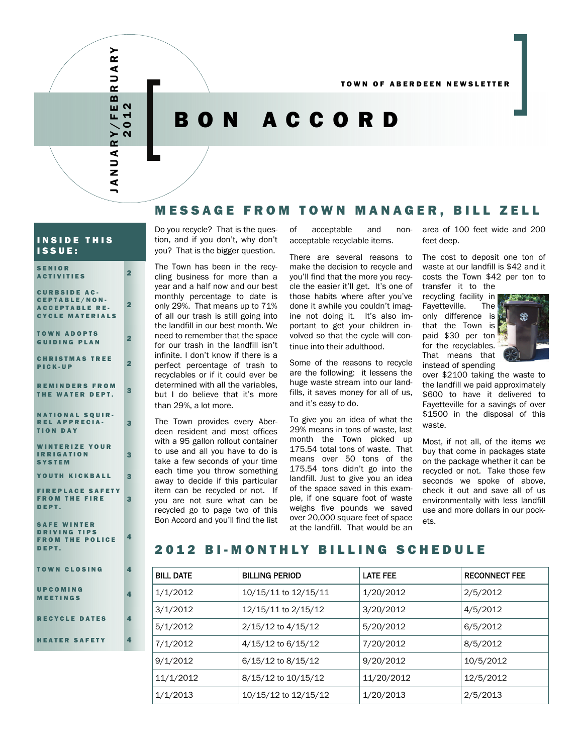TOWN OF ABERDEEN NEWSLETTER

# BON ACCORD

## MESSAGE FROM TOWN MANAGER, BILL ZELL

### INSIDE THIS ISSUE:

SENIOR

JANUARY/FEBRUARY 2012

ANUARY/FEB

 $\alpha$ ⋖  $\Rightarrow$  $\alpha$ 

| <b>ACTIVITIES</b>                                                                       | 2              |
|-----------------------------------------------------------------------------------------|----------------|
| <b>CURBSIDE AC-</b><br>CEPTABLE/NON-<br><b>ACCEPTABLE RE-</b><br><b>CYCLE MATERIALS</b> | $\overline{2}$ |
| <b>TOWN ADOPTS</b><br><b>GUIDING PLAN</b>                                               | 2              |
| <b>CHRISTMAS TREE</b><br>PICK-UP                                                        | $\overline{2}$ |
| <b>REMINDERS FROM</b><br>THE WATER DEPT.                                                | 3              |
| <b>NATIONAL SQUIR-</b><br><b>REL APPRECIA-</b><br><b>TION DAY</b>                       | З              |
| <b>WINTERIZE YOUR</b><br><b>IRRIGATION</b><br><b>SYSTEM</b>                             | 3              |
| YOUTH KICKBALL                                                                          | 3              |
| <b>FIREPLACE SAFETY</b><br><b>FROM THE FIRE</b><br>DEPT.                                | З              |
| <b>SAFE WINTER</b><br><b>DRIVING TIPS</b><br><b>FROM THE POLICE</b><br>DEPT.            | Δ.             |
| <b>TOWN CLOSING</b>                                                                     | Δ,             |
| UPCOMING<br><b>MEETINGS</b>                                                             | 4              |

# RECYCLE DATES 4

### **HEATER SAFETY**

Do you recycle? That is the question, and if you don't, why don't you? That is the bigger question.

The Town has been in the recycling business for more than a year and a half now and our best monthly percentage to date is only 29%. That means up to 71% of all our trash is still going into the landfill in our best month. We need to remember that the space for our trash in the landfill isn't infinite. I don't know if there is a perfect percentage of trash to recyclables or if it could ever be determined with all the variables, but I do believe that it's more than 29%, a lot more.

The Town provides every Aberdeen resident and most offices with a 95 gallon rollout container to use and all you have to do is take a few seconds of your time each time you throw something away to decide if this particular item can be recycled or not. If you are not sure what can be recycled go to page two of this Bon Accord and you'll find the list

of acceptable and nonacceptable recyclable items.

There are several reasons to make the decision to recycle and you'll find that the more you recycle the easier it'll get. It's one of those habits where after you've done it awhile you couldn't imagine not doing it. It's also important to get your children involved so that the cycle will continue into their adulthood.

Some of the reasons to recycle are the following: it lessens the huge waste stream into our landfills, it saves money for all of us, and it's easy to do.

To give you an idea of what the 29% means in tons of waste, last month the Town picked up 175.54 total tons of waste. That means over 50 tons of the 175.54 tons didn't go into the landfill. Just to give you an idea of the space saved in this example, if one square foot of waste weighs five pounds we saved over 20,000 square feet of space at the landfill. That would be an

area of 100 feet wide and 200 feet deep.

The cost to deposit one ton of waste at our landfill is \$42 and it costs the Town \$42 per ton to transfer it to the

recycling facility in Fayetteville. The only difference is that the Town is paid \$30 per ton for the recyclables. That means that instead of spending



over \$2100 taking the waste to the landfill we paid approximately \$600 to have it delivered to Fayetteville for a savings of over \$1500 in the disposal of this waste.

Most, if not all, of the items we buy that come in packages state on the package whether it can be recycled or not. Take those few seconds we spoke of above. check it out and save all of us environmentally with less landfill use and more dollars in our pockets.

### 2012 BI-MONTHLY BILLING SCHEDULE

| <b>BILL DATE</b> | <b>BILLING PERIOD</b>  | LATE FEE   | <b>RECONNECT FEE</b> |
|------------------|------------------------|------------|----------------------|
| 1/1/2012         | 10/15/11 to 12/15/11   | 1/20/2012  | 2/5/2012             |
| 3/1/2012         | 12/15/11 to 2/15/12    | 3/20/2012  | 4/5/2012             |
| 5/1/2012         | $2/15/12$ to $4/15/12$ | 5/20/2012  | 6/5/2012             |
| 7/1/2012         | $4/15/12$ to 6/15/12   | 7/20/2012  | 8/5/2012             |
| 9/1/2012         | 6/15/12 to 8/15/12     | 9/20/2012  | 10/5/2012            |
| 11/1/2012        | 8/15/12 to 10/15/12    | 11/20/2012 | 12/5/2012            |
| 1/1/2013         | 10/15/12 to 12/15/12   | 1/20/2013  | 2/5/2013             |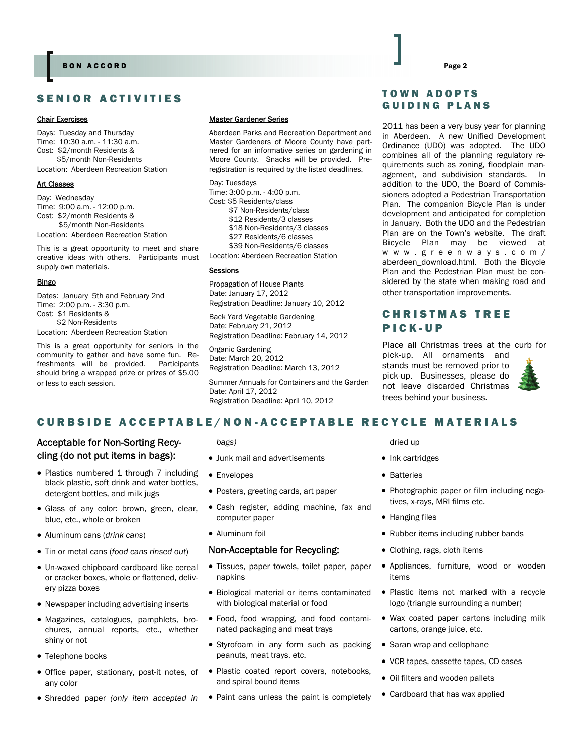### SENIOR ACTIVITIES

#### Chair Exercises

Days: Tuesday and Thursday Time: 10:30 a.m. - 11:30 a.m. Cost: \$2/month Residents & \$5/month Non-Residents

Location: Aberdeen Recreation Station

### Art Classes

Day: Wednesday Time: 9:00 a.m. - 12:00 p.m. Cost: \$2/month Residents & \$5/month Non-Residents Location: Aberdeen Recreation Station

This is a great opportunity to meet and share creative ideas with others. Participants must supply own materials.

#### Bingo

Dates: January 5th and February 2nd Time: 2:00 p.m. - 3:30 p.m. Cost: \$1 Residents & \$2 Non-Residents

Location: Aberdeen Recreation Station

This is a great opportunity for seniors in the community to gather and have some fun. Refreshments will be provided. Participants should bring a wrapped prize or prizes of \$5.00 or less to each session.

#### Master Gardener Series

Aberdeen Parks and Recreation Department and Master Gardeners of Moore County have partnered for an informative series on gardening in Moore County. Snacks will be provided. Preregistration is required by the listed deadlines.

Day: Tuesdays Time: 3:00 p.m. - 4:00 p.m. Cost: \$5 Residents/class \$7 Non-Residents/class \$12 Residents/3 classes \$18 Non-Residents/3 classes \$27 Residents/6 classes \$39 Non-Residents/6 classes Location: Aberdeen Recreation Station

#### **Sessions**

Propagation of House Plants Date: January 17, 2012 Registration Deadline: January 10, 2012

Back Yard Vegetable Gardening Date: February 21, 2012 Registration Deadline: February 14, 2012

Organic Gardening Date: March 20, 2012 Registration Deadline: March 13, 2012

Summer Annuals for Containers and the Garden Date: April 17, 2012 Registration Deadline: April 10, 2012

### TOWN ADOPTS GUIDING PLANS

2011 has been a very busy year for planning in Aberdeen. A new Unified Development Ordinance (UDO) was adopted. The UDO combines all of the planning regulatory requirements such as zoning, floodplain management, and subdivision standards. In addition to the UDO, the Board of Commissioners adopted a Pedestrian Transportation Plan. The companion Bicycle Plan is under development and anticipated for completion in January. Both the UDO and the Pedestrian Plan are on the Town's website. The draft Bicycle Plan may be viewed at [www.greenways.com/](http://www.greenways.com/aberdeen_download.html) [aberdeen\\_download.html.](http://www.greenways.com/aberdeen_download.html) Both the Bicycle Plan and the Pedestrian Plan must be considered by the state when making road and other transportation improvements.

# CHRISTMAS TREE PICK-UP

Place all Christmas trees at the curb for

pick-up. All ornaments and stands must be removed prior to pick-up. Businesses, please do not leave discarded Christmas trees behind your business.



### CURBSIDE ACCEPTABLE/NON-ACCE PTABLE RECYCLE MATERIALS

### Acceptable for Non-Sorting Recycling (do not put items in bags):

- Plastics numbered 1 through 7 including black plastic, soft drink and water bottles, detergent bottles, and milk jugs
- Glass of any color: brown, green, clear, blue, etc., whole or broken
- Aluminum cans (*drink cans*)
- Tin or metal cans (*food cans rinsed out*)
- Un-waxed chipboard cardboard like cereal or cracker boxes, whole or flattened, delivery pizza boxes
- Newspaper including advertising inserts
- Magazines, catalogues, pamphlets, brochures, annual reports, etc., whether shiny or not
- Telephone books
- Office paper, stationary, post-it notes, of any color
- Shredded paper *(only item accepted in*

#### *bags)*

- Junk mail and advertisements
- Envelopes
- Posters, greeting cards, art paper
- Cash register, adding machine, fax and computer paper
- Aluminum foil

#### Non-Acceptable for Recycling:

- Tissues, paper towels, toilet paper, paper napkins
- Biological material or items contaminated with biological material or food
- Food, food wrapping, and food contaminated packaging and meat trays
- Styrofoam in any form such as packing peanuts, meat trays, etc.
- Plastic coated report covers, notebooks, and spiral bound items
- Paint cans unless the paint is completely

#### dried up

- Ink cartridges
- Batteries
- Photographic paper or film including negatives, x-rays, MRI films etc.
- Hanging files
- Rubber items including rubber bands
- Clothing, rags, cloth items
- Appliances, furniture, wood or wooden items
- Plastic items not marked with a recycle logo (triangle surrounding a number)
- Wax coated paper cartons including milk cartons, orange juice, etc.
- Saran wrap and cellophane
- VCR tapes, cassette tapes, CD cases
- Oil filters and wooden pallets
- Cardboard that has wax applied

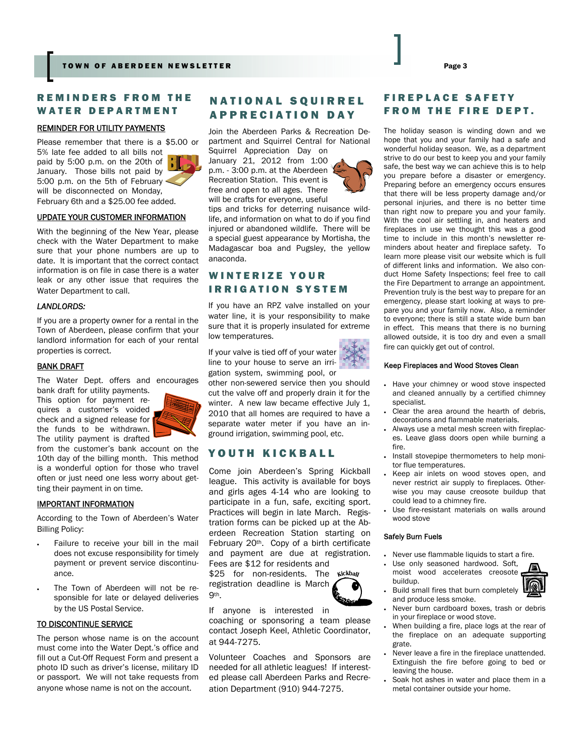### REMINDERS FROM THE WATER DEPARTMENT

#### REMINDER FOR UTILITY PAYMENTS

Please remember that there is a \$5.00 or 5% late fee added to all bills not paid by 5:00 p.m. on the 20th of January. Those bills not paid by 5:00 p.m. on the 5th of February will be disconnected on Monday, February 6th and a \$25.00 fee added.



UPDATE YOUR CUSTOMER INFORMATION

With the beginning of the New Year, please check with the Water Department to make sure that your phone numbers are up to date. It is important that the correct contact information is on file in case there is a water leak or any other issue that requires the Water Department to call.

#### *LANDLORDS:*

If you are a property owner for a rental in the Town of Aberdeen, please confirm that your landlord information for each of your rental properties is correct.

#### **BANK DRAFT**

The Water Dept. offers and encourages

bank draft for utility payments. This option for payment requires a customer's voided check and a signed release for the funds to be withdrawn. The utility payment is drafted



from the customer's bank account on the 10th day of the billing month. This method is a wonderful option for those who travel often or just need one less worry about getting their payment in on time.

#### IMPORTANT INFORMATION

According to the Town of Aberdeen's Water Billing Policy:

- Failure to receive your bill in the mail does not excuse responsibility for timely payment or prevent service discontinuance.
- The Town of Aberdeen will not be responsible for late or delayed deliveries by the US Postal Service.

#### TO DISCONTINUE SERVICE

The person whose name is on the account must come into the Water Dept.'s office and fill out a Cut-Off Request Form and present a photo ID such as driver's license, military ID or passport. We will not take requests from anyone whose name is not on the account.

## NATIONAL SQUIRREL APPRECIATION DAY

Join the Aberdeen Parks & Recreation Department and Squirrel Central for National Squirrel Appreciation Day on

January 21, 2012 from 1:00 p.m. - 3:00 p.m. at the Aberdeen Recreation Station. This event is free and open to all ages. There will be crafts for everyone, useful



### WINTERIZE YOUR IRRIGATION SYSTEM

If you have an RPZ valve installed on your water line, it is your responsibility to make sure that it is properly insulated for extreme low temperatures.

If your valve is tied off of your water line to your house to serve an irrigation system, swimming pool, or

other non-sewered service then you should cut the valve off and properly drain it for the winter. A new law became effective July 1, 2010 that all homes are required to have a separate water meter if you have an inground irrigation, swimming pool, etc.

### YOUTH KICKBALL

Come join Aberdeen's Spring Kickball league. This activity is available for boys and girls ages 4-14 who are looking to participate in a fun, safe, exciting sport. Practices will begin in late March. Registration forms can be picked up at the Aberdeen Recreation Station starting on February 20th. Copy of a birth certificate and payment are due at registration. Fees are \$12 for residents and

\$25 for non-residents. The wickbay registration deadline is March 9th.



If anyone is interested in coaching or sponsoring a team please contact Joseph Keel, Athletic Coordinator, at 944-7275.

Volunteer Coaches and Sponsors are needed for all athletic leagues! If interested please call Aberdeen Parks and Recreation Department (910) 944-7275.

### FIREPLACE SAFETY FROM THE FIRE DEPT.

The holiday season is winding down and we hope that you and your family had a safe and wonderful holiday season. We, as a department strive to do our best to keep you and your family safe, the best way we can achieve this is to help you prepare before a disaster or emergency. Preparing before an emergency occurs ensures that there will be less property damage and/or personal injuries, and there is no better time than right now to prepare you and your family. With the cool air settling in, and heaters and fireplaces in use we thought this was a good time to include in this month's newsletter reminders about heater and fireplace safety. To learn more please visit our website which is full of different links and information. We also conduct Home Safety Inspections; feel free to call the Fire Department to arrange an appointment. Prevention truly is the best way to prepare for an emergency, please start looking at ways to prepare you and your family now. Also, a reminder to everyone; there is still a state wide burn ban in effect. This means that there is no burning allowed outside, it is too dry and even a small fire can quickly get out of control.

#### Keep Fireplaces and Wood Stoves Clean

- Have your chimney or wood stove inspected and cleaned annually by a certified chimney specialist.
- Clear the area around the hearth of debris, decorations and flammable materials.
- Always use a metal mesh screen with fireplaces. Leave glass doors open while burning a fire.
- Install stovepipe thermometers to help monitor flue temperatures.
- Keep air inlets on wood stoves open, and never restrict air supply to fireplaces. Otherwise you may cause creosote buildup that could lead to a chimney fire.
- Use fire-resistant materials on walls around wood stove

#### Safely Burn Fuels

- Never use flammable liquids to start a fire.
- Use only seasoned hardwood. Soft, moist wood accelerates creosote buildup.
	- Build small fires that burn completely and produce less smoke.
- Never burn cardboard boxes, trash or debris in your fireplace or wood stove.
- When building a fire, place logs at the rear of the fireplace on an adequate supporting grate.
- Never leave a fire in the fireplace unattended. Extinguish the fire before going to bed or leaving the house.
- Soak hot ashes in water and place them in a metal container outside your home.